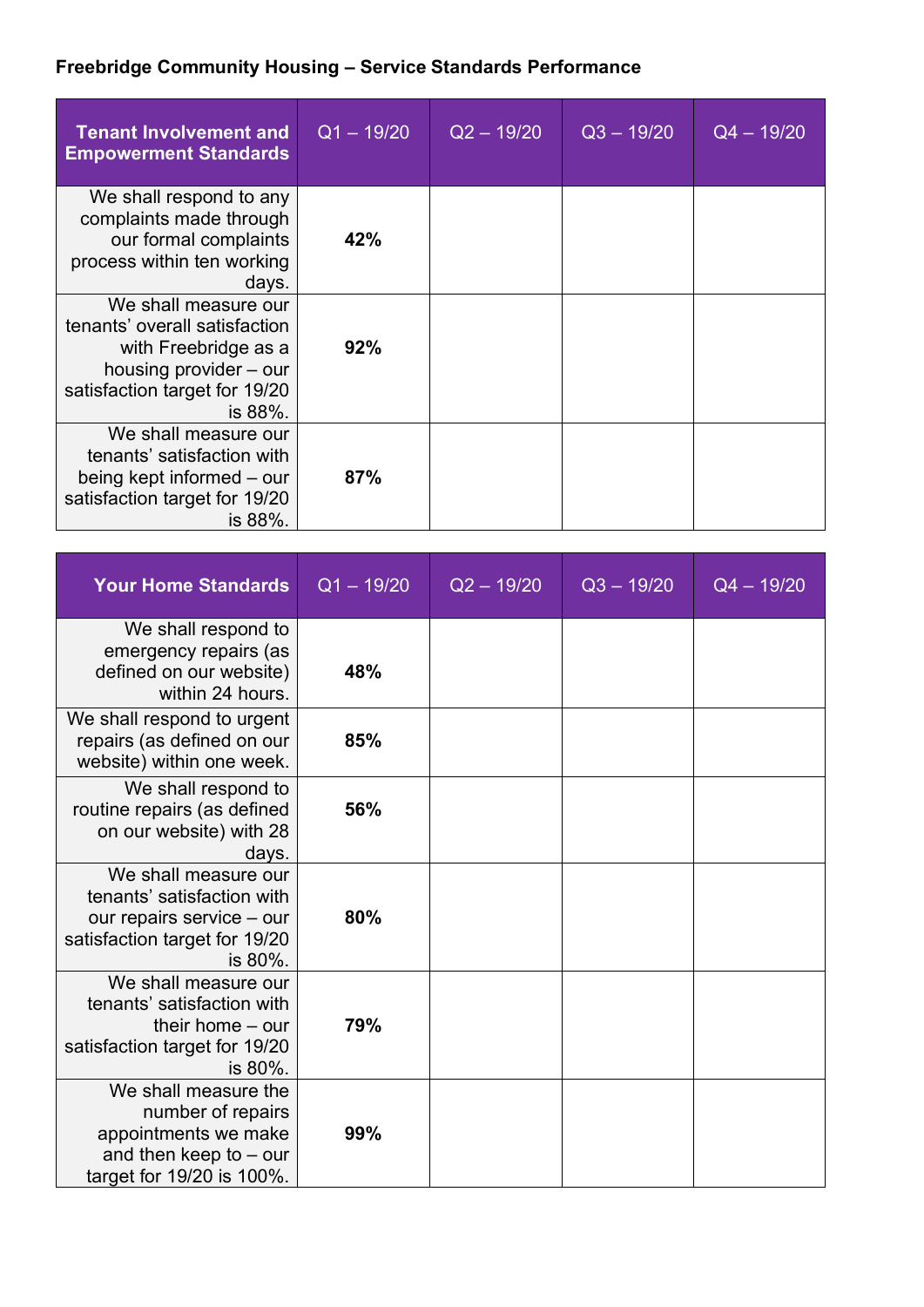## **Freebridge Community Housing – Service Standards Performance**

| <b>Tenant Involvement and</b><br><b>Empowerment Standards</b>                                                                                       | $Q1 - 19/20$ | $Q2 - 19/20$ | $Q3 - 19/20$ | $Q4 - 19/20$ |
|-----------------------------------------------------------------------------------------------------------------------------------------------------|--------------|--------------|--------------|--------------|
| We shall respond to any<br>complaints made through<br>our formal complaints<br>process within ten working<br>days.                                  | 42%          |              |              |              |
| We shall measure our<br>tenants' overall satisfaction<br>with Freebridge as a<br>housing provider – our<br>satisfaction target for 19/20<br>is 88%. | 92%          |              |              |              |
| We shall measure our<br>tenants' satisfaction with<br>being kept informed – our<br>satisfaction target for 19/20<br>is 88%.                         | 87%          |              |              |              |

| <b>Your Home Standards</b>                                                                                                  | $Q1 - 19/20$ | $Q2 - 19/20$ | $Q3 - 19/20$ | $Q4 - 19/20$ |
|-----------------------------------------------------------------------------------------------------------------------------|--------------|--------------|--------------|--------------|
| We shall respond to<br>emergency repairs (as<br>defined on our website)<br>within 24 hours.                                 | 48%          |              |              |              |
| We shall respond to urgent<br>repairs (as defined on our<br>website) within one week.                                       | 85%          |              |              |              |
| We shall respond to<br>routine repairs (as defined<br>on our website) with 28<br>days.                                      | 56%          |              |              |              |
| We shall measure our<br>tenants' satisfaction with<br>our repairs service - our<br>satisfaction target for 19/20<br>is 80%. | 80%          |              |              |              |
| We shall measure our<br>tenants' satisfaction with<br>their home $-$ our<br>satisfaction target for 19/20<br>is 80%.        | 79%          |              |              |              |
| We shall measure the<br>number of repairs<br>appointments we make<br>and then keep to $-$ our<br>target for 19/20 is 100%.  | 99%          |              |              |              |